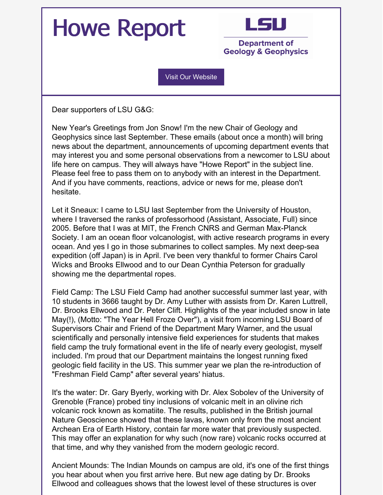## Howe Report



**Department of Geology & Geophysics** 

Visit Our [Website](https://www.lsu.edu/index.php)

Dear supporters of LSU G&G:

New Year's Greetings from Jon Snow! I'm the new Chair of Geology and Geophysics since last September. These emails (about once a month) will bring news about the department, announcements of upcoming department events that may interest you and some personal observations from a newcomer to LSU about life here on campus. They will always have "Howe Report" in the subject line. Please feel free to pass them on to anybody with an interest in the Department. And if you have comments, reactions, advice or news for me, please don't hesitate.

Let it Sneaux: I came to LSU last September from the University of Houston, where I traversed the ranks of professorhood (Assistant, Associate, Full) since 2005. Before that I was at MIT, the French CNRS and German Max-Planck Society. I am an ocean floor volcanologist, with active research programs in every ocean. And yes I go in those submarines to collect samples. My next deep-sea expedition (off Japan) is in April. I've been very thankful to former Chairs Carol Wicks and Brooks Ellwood and to our Dean Cynthia Peterson for gradually showing me the departmental ropes.

Field Camp: The LSU Field Camp had another successful summer last year, with 10 students in 3666 taught by Dr. Amy Luther with assists from Dr. Karen Luttrell, Dr. Brooks Ellwood and Dr. Peter Clift. Highlights of the year included snow in late May(!), (Motto: "The Year Hell Froze Over"), a visit from incoming LSU Board of Supervisors Chair and Friend of the Department Mary Warner, and the usual scientifically and personally intensive field experiences for students that makes field camp the truly formational event in the life of nearly every geologist, myself included. I'm proud that our Department maintains the longest running fixed geologic field facility in the US. This summer year we plan the re-introduction of "Freshman Field Camp" after several years' hiatus.

It's the water: Dr. Gary Byerly, working with Dr. Alex Sobolev of the University of Grenoble (France) probed tiny inclusions of volcanic melt in an olivine rich volcanic rock known as komatiite. The results, published in the British journal Nature Geoscience showed that these lavas, known only from the most ancient Archean Era of Earth History, contain far more water that previously suspected. This may offer an explanation for why such (now rare) volcanic rocks occurred at that time, and why they vanished from the modern geologic record.

Ancient Mounds: The Indian Mounds on campus are old, it's one of the first things you hear about when you first arrive here. But new age dating by Dr. Brooks Ellwood and colleagues shows that the lowest level of these structures is over